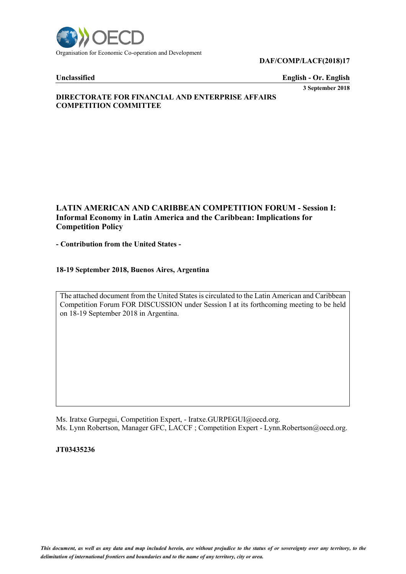

### **DAF/COMP/LACF(2018)17**

**Unclassified English - Or. English 3 September 2018**

# **DIRECTORATE FOR FINANCIAL AND ENTERPRISE AFFAIRS COMPETITION COMMITTEE**

# **LATIN AMERICAN AND CARIBBEAN COMPETITION FORUM - Session I: Informal Economy in Latin America and the Caribbean: Implications for Competition Policy**

**- Contribution from the United States -**

# **18-19 September 2018, Buenos Aires, Argentina**

The attached document from the United States is circulated to the Latin American and Caribbean Competition Forum FOR DISCUSSION under Session I at its forthcoming meeting to be held on 18-19 September 2018 in Argentina.

Ms. Iratxe Gurpegui, Competition Expert, - Iratxe.GURPEGUI@oecd.org. Ms. Lynn Robertson, Manager GFC, LACCF; Competition Expert - Lynn.Robertson@oecd.org.

**JT03435236**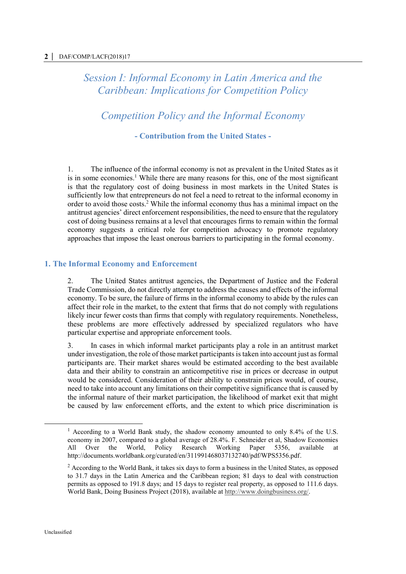*Session I: Informal Economy in Latin America and the Caribbean: Implications for Competition Policy*

*Competition Policy and the Informal Economy*

**- Contribution from the United States -**

1. The influence of the informal economy is not as prevalent in the United States as it is in some economies.<sup>1</sup> While there are many reasons for this, one of the most significant is that the regulatory cost of doing business in most markets in the United States is sufficiently low that entrepreneurs do not feel a need to retreat to the informal economy in order to avoid those costs. <sup>2</sup> While the informal economy thus has a minimal impact on the antitrust agencies' direct enforcement responsibilities, the need to ensure that the regulatory cost of doing business remains at a level that encourages firms to remain within the formal economy suggests a critical role for competition advocacy to promote regulatory approaches that impose the least onerous barriers to participating in the formal economy.

# **1. The Informal Economy and Enforcement**

2. The United States antitrust agencies, the Department of Justice and the Federal Trade Commission, do not directly attempt to address the causes and effects of the informal economy. To be sure, the failure of firms in the informal economy to abide by the rules can affect their role in the market, to the extent that firms that do not comply with regulations likely incur fewer costs than firms that comply with regulatory requirements. Nonetheless, these problems are more effectively addressed by specialized regulators who have particular expertise and appropriate enforcement tools.

3. In cases in which informal market participants play a role in an antitrust market under investigation, the role of those market participants is taken into account just as formal participants are. Their market shares would be estimated according to the best available data and their ability to constrain an anticompetitive rise in prices or decrease in output would be considered. Consideration of their ability to constrain prices would, of course, need to take into account any limitations on their competitive significance that is caused by the informal nature of their market participation, the likelihood of market exit that might be caused by law enforcement efforts, and the extent to which price discrimination is

<sup>1</sup> According to a World Bank study, the shadow economy amounted to only 8.4% of the U.S. economy in 2007, compared to a global average of 28.4%. F. Schneider et al, Shadow Economies All Over the World, Policy Research Working Paper 5356, available at http://documents.worldbank.org/curated/en/311991468037132740/pdf/WPS5356.pdf.

<sup>&</sup>lt;sup>2</sup> According to the World Bank, it takes six days to form a business in the United States, as opposed to 31.7 days in the Latin America and the Caribbean region; 81 days to deal with construction permits as opposed to 191.8 days; and 15 days to register real property, as opposed to 111.6 days. World Bank, Doing Business Project (2018), available at [http://www.doingbusiness.org/.](http://www.doingbusiness.org/)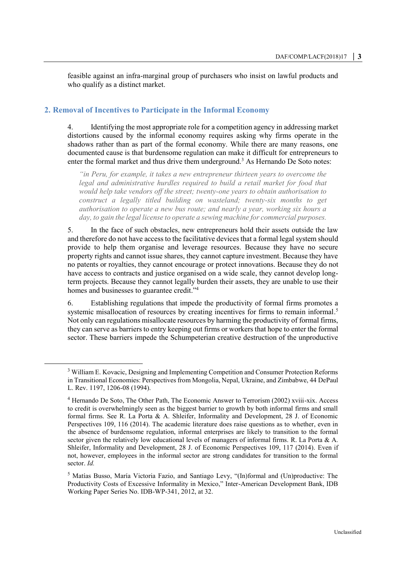feasible against an infra-marginal group of purchasers who insist on lawful products and who qualify as a distinct market.

# **2. Removal of Incentives to Participate in the Informal Economy**

4. Identifying the most appropriate role for a competition agency in addressing market distortions caused by the informal economy requires asking why firms operate in the shadows rather than as part of the formal economy. While there are many reasons, one documented cause is that burdensome regulation can make it difficult for entrepreneurs to enter the formal market and thus drive them underground.<sup>3</sup> As Hernando De Soto notes:

*"in Peru, for example, it takes a new entrepreneur thirteen years to overcome the legal and administrative hurdles required to build a retail market for food that would help take vendors off the street; twenty-one years to obtain authorisation to construct a legally titled building on wasteland; twenty-six months to get authorisation to operate a new bus route; and nearly a year, working six hours a day, to gain the legal license to operate a sewing machine for commercial purposes.*

5. In the face of such obstacles, new entrepreneurs hold their assets outside the law and therefore do not have access to the facilitative devices that a formal legal system should provide to help them organise and leverage resources. Because they have no secure property rights and cannot issue shares, they cannot capture investment. Because they have no patents or royalties, they cannot encourage or protect innovations. Because they do not have access to contracts and justice organised on a wide scale, they cannot develop longterm projects. Because they cannot legally burden their assets, they are unable to use their homes and businesses to guarantee credit."<sup>4</sup>

6. Establishing regulations that impede the productivity of formal firms promotes a systemic misallocation of resources by creating incentives for firms to remain informal.<sup>5</sup> Not only can regulations misallocate resources by harming the productivity of formal firms, they can serve as barriers to entry keeping out firms or workers that hope to enter the formal sector. These barriers impede the Schumpeterian creative destruction of the unproductive

<sup>3</sup> William E. Kovacic, Designing and Implementing Competition and Consumer Protection Reforms in Transitional Economies: Perspectives from Mongolia, Nepal, Ukraine, and Zimbabwe, 44 DePaul L. Rev. 1197, 1206-08 (1994).

<sup>4</sup> Hernando De Soto, The Other Path, The Economic Answer to Terrorism (2002) xviii-xix. Access to credit is overwhelmingly seen as the biggest barrier to growth by both informal firms and small formal firms. See R. La Porta & A. Shleifer, Informality and Development, 28 J. of Economic Perspectives 109, 116 (2014). The academic literature does raise questions as to whether, even in the absence of burdensome regulation, informal enterprises are likely to transition to the formal sector given the relatively low educational levels of managers of informal firms. R. La Porta & A. Shleifer, Informality and Development, 28 J. of Economic Perspectives 109, 117 (2014). Even if not, however, employees in the informal sector are strong candidates for transition to the formal sector. *Id.*

<sup>5</sup> Matías Busso, María Victoria Fazio, and Santiago Levy, "(In)formal and (Un)productive: The Productivity Costs of Excessive Informality in Mexico," Inter-American Development Bank, IDB Working Paper Series No. IDB-WP-341, 2012, at 32.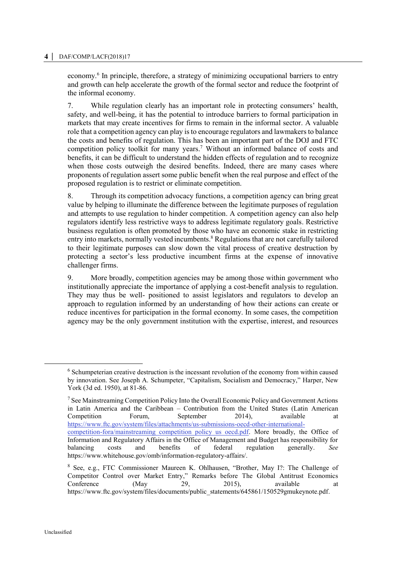#### **4 │** DAF/COMP/LACF(2018)17

economy.<sup>6</sup> In principle, therefore, a strategy of minimizing occupational barriers to entry and growth can help accelerate the growth of the formal sector and reduce the footprint of the informal economy.

7. While regulation clearly has an important role in protecting consumers' health, safety, and well-being, it has the potential to introduce barriers to formal participation in markets that may create incentives for firms to remain in the informal sector. A valuable role that a competition agency can play is to encourage regulators and lawmakers to balance the costs and benefits of regulation. This has been an important part of the DOJ and FTC competition policy toolkit for many years.<sup>7</sup> Without an informed balance of costs and benefits, it can be difficult to understand the hidden effects of regulation and to recognize when those costs outweigh the desired benefits. Indeed, there are many cases where proponents of regulation assert some public benefit when the real purpose and effect of the proposed regulation is to restrict or eliminate competition.

8. Through its competition advocacy functions, a competition agency can bring great value by helping to illuminate the difference between the legitimate purposes of regulation and attempts to use regulation to hinder competition. A competition agency can also help regulators identify less restrictive ways to address legitimate regulatory goals. Restrictive business regulation is often promoted by those who have an economic stake in restricting entry into markets, normally vested incumbents.<sup>8</sup> Regulations that are not carefully tailored to their legitimate purposes can slow down the vital process of creative destruction by protecting a sector's less productive incumbent firms at the expense of innovative challenger firms.

9. More broadly, competition agencies may be among those within government who institutionally appreciate the importance of applying a cost-benefit analysis to regulation. They may thus be well- positioned to assist legislators and regulators to develop an approach to regulation informed by an understanding of how their actions can create or reduce incentives for participation in the formal economy. In some cases, the competition agency may be the only government institution with the expertise, interest, and resources

<sup>&</sup>lt;sup>6</sup> Schumpeterian creative destruction is the incessant revolution of the economy from within caused by innovation. See Joseph A. Schumpeter, "Capitalism, Socialism and Democracy," Harper, New York (3d ed. 1950), at 81-86.

<sup>7</sup> See Mainstreaming Competition Policy Into the Overall Economic Policy and Government Actions in Latin America and the Caribbean – Contribution from the United States (Latin American Competition Forum, September 2014), available at [https://www.ftc.gov/system/files/attachments/us-submissions-oecd-other-international](https://www.ftc.gov/system/files/attachments/us-submissions-oecd-other-international-competition-fora/mainstreaming_competition_policy_us_oecd.pdf)[competition-fora/mainstreaming\\_competition\\_policy\\_us\\_oecd.pdf.](https://www.ftc.gov/system/files/attachments/us-submissions-oecd-other-international-competition-fora/mainstreaming_competition_policy_us_oecd.pdf) More broadly, the Office of Information and Regulatory Affairs in the Office of Management and Budget has responsibility for balancing costs and benefits of federal regulation generally. *See*  https://www.whitehouse.gov/omb/information-regulatory-affairs/.

<sup>8</sup> See, e.g., FTC Commissioner Maureen K. Ohlhausen, "Brother, May I?: The Challenge of Competitor Control over Market Entry," Remarks before The Global Antitrust Economics Conference (May 29, 2015), available at https://www.ftc.gov/system/files/documents/public\_statements/645861/150529gmukeynote.pdf.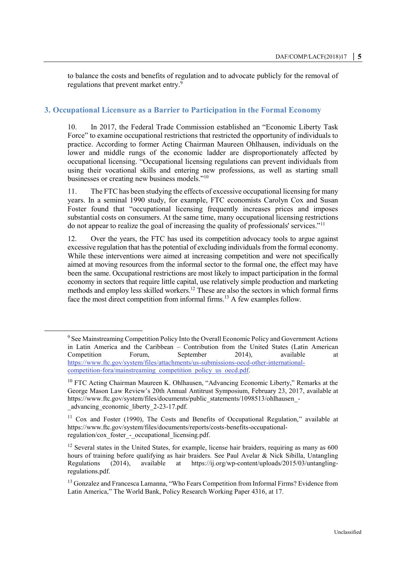to balance the costs and benefits of regulation and to advocate publicly for the removal of regulations that prevent market entry.<sup>9</sup>

# **3. Occupational Licensure as a Barrier to Participation in the Formal Economy**

10. In 2017, the Federal Trade Commission established an "Economic Liberty Task Force" to examine occupational restrictions that restricted the opportunity of individuals to practice. According to former Acting Chairman Maureen Ohlhausen, individuals on the lower and middle rungs of the economic ladder are disproportionately affected by occupational licensing. "Occupational licensing regulations can prevent individuals from using their vocational skills and entering new professions, as well as starting small businesses or creating new business models."<sup>10</sup>

11. The FTC has been studying the effects of excessive occupational licensing for many years. In a seminal 1990 study, for example, FTC economists Carolyn Cox and Susan Foster found that "occupational licensing frequently increases prices and imposes substantial costs on consumers. At the same time, many occupational licensing restrictions do not appear to realize the goal of increasing the quality of professionals' services."<sup>11</sup>

12. Over the years, the FTC has used its competition advocacy tools to argue against excessive regulation that has the potential of excluding individuals from the formal economy. While these interventions were aimed at increasing competition and were not specifically aimed at moving resources from the informal sector to the formal one, the effect may have been the same. Occupational restrictions are most likely to impact participation in the formal economy in sectors that require little capital, use relatively simple production and marketing methods and employ less skilled workers.<sup>12</sup> These are also the sectors in which formal firms face the most direct competition from informal firms.<sup>13</sup> A few examples follow.

<sup>9</sup> See Mainstreaming Competition Policy Into the Overall Economic Policy and Government Actions in Latin America and the Caribbean – Contribution from the United States (Latin American Competition Forum, September 2014), available at [https://www.ftc.gov/system/files/attachments/us-submissions-oecd-other-international](https://www.ftc.gov/system/files/attachments/us-submissions-oecd-other-international-competition-fora/mainstreaming_competition_policy_us_oecd.pdf)[competition-fora/mainstreaming\\_competition\\_policy\\_us\\_oecd.pdf.](https://www.ftc.gov/system/files/attachments/us-submissions-oecd-other-international-competition-fora/mainstreaming_competition_policy_us_oecd.pdf)

<sup>&</sup>lt;sup>10</sup> FTC Acting Chairman Maureen K. Ohlhausen, "Advancing Economic Liberty," Remarks at the George Mason Law Review's 20th Annual Antitrust Symposium, February 23, 2017, available at https://www.ftc.gov/system/files/documents/public\_statements/1098513/ohlhausen\_ advancing economic liberty 2-23-17.pdf.

<sup>&</sup>lt;sup>11</sup> Cox and Foster (1990), The Costs and Benefits of Occupational Regulation," available at https://www.ftc.gov/system/files/documents/reports/costs-benefits-occupationalregulation/cox\_foster -\_occupational\_licensing.pdf.

<sup>&</sup>lt;sup>12</sup> Several states in the United States, for example, license hair braiders, requiring as many as 600 hours of training before qualifying as hair braiders. See Paul Avelar & Nick Sibilla, Untangling Regulations (2014), available at https://ij.org/wp-content/uploads/2015/03/untanglingregulations.pdf.

<sup>&</sup>lt;sup>13</sup> Gonzalez and Francesca Lamanna, "Who Fears Competition from Informal Firms? Evidence from Latin America," The World Bank, Policy Research Working Paper 4316, at 17.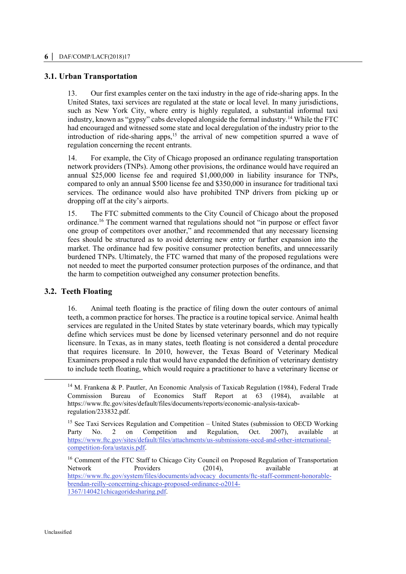# **3.1. Urban Transportation**

13. Our first examples center on the taxi industry in the age of ride-sharing apps. In the United States, taxi services are regulated at the state or local level. In many jurisdictions, such as New York City, where entry is highly regulated, a substantial informal taxi industry, known as "gypsy" cabs developed alongside the formal industry.<sup>14</sup> While the FTC had encouraged and witnessed some state and local deregulation of the industry prior to the introduction of ride-sharing apps, $15$  the arrival of new competition spurred a wave of regulation concerning the recent entrants.

14. For example, the City of Chicago proposed an ordinance regulating transportation network providers (TNPs). Among other provisions, the ordinance would have required an annual \$25,000 license fee and required \$1,000,000 in liability insurance for TNPs, compared to only an annual \$500 license fee and \$350,000 in insurance for traditional taxi services. The ordinance would also have prohibited TNP drivers from picking up or dropping off at the city's airports.

15. The FTC submitted comments to the City Council of Chicago about the proposed ordinance.<sup>16</sup> The comment warned that regulations should not "in purpose or effect favor one group of competitors over another," and recommended that any necessary licensing fees should be structured as to avoid deterring new entry or further expansion into the market. The ordinance had few positive consumer protection benefits, and unnecessarily burdened TNPs. Ultimately, the FTC warned that many of the proposed regulations were not needed to meet the purported consumer protection purposes of the ordinance, and that the harm to competition outweighed any consumer protection benefits.

#### **3.2. Teeth Floating**

16. Animal teeth floating is the practice of filing down the outer contours of animal teeth, a common practice for horses. The practice is a routine topical service. Animal health services are regulated in the United States by state veterinary boards, which may typically define which services must be done by licensed veterinary personnel and do not require licensure. In Texas, as in many states, teeth floating is not considered a dental procedure that requires licensure. In 2010, however, the Texas Board of Veterinary Medical Examiners proposed a rule that would have expanded the definition of veterinary dentistry to include teeth floating, which would require a practitioner to have a veterinary license or

<sup>&</sup>lt;sup>14</sup> M. Frankena & P. Pautler, An Economic Analysis of Taxicab Regulation (1984), Federal Trade Commission Bureau of Economics Staff Report at 63 (1984), available at https://www.ftc.gov/sites/default/files/documents/reports/economic-analysis-taxicabregulation/233832.pdf.

<sup>&</sup>lt;sup>15</sup> See Taxi Services Regulation and Competition – United States (submission to OECD Working Party No. 2 on Competition and Regulation, Oct. 2007), available at [https://www.ftc.gov/sites/default/files/attachments/us-submissions-oecd-and-other-international](https://www.ftc.gov/sites/default/files/attachments/us-submissions-oecd-and-other-international-competition-fora/ustaxis.pdf)[competition-fora/ustaxis.pdf.](https://www.ftc.gov/sites/default/files/attachments/us-submissions-oecd-and-other-international-competition-fora/ustaxis.pdf)

<sup>&</sup>lt;sup>16</sup> Comment of the FTC Staff to Chicago City Council on Proposed Regulation of Transportation Network Providers (2014), available at [https://www.ftc.gov/system/files/documents/advocacy\\_documents/ftc-staff-comment-honorable](https://www.ftc.gov/system/files/documents/advocacy_documents/ftc-staff-comment-honorable-brendan-reilly-concerning-chicago-proposed-ordinance-o2014-1367/140421chicagoridesharing.pdf)[brendan-reilly-concerning-chicago-proposed-ordinance-o2014-](https://www.ftc.gov/system/files/documents/advocacy_documents/ftc-staff-comment-honorable-brendan-reilly-concerning-chicago-proposed-ordinance-o2014-1367/140421chicagoridesharing.pdf) [1367/140421chicagoridesharing.pdf.](https://www.ftc.gov/system/files/documents/advocacy_documents/ftc-staff-comment-honorable-brendan-reilly-concerning-chicago-proposed-ordinance-o2014-1367/140421chicagoridesharing.pdf)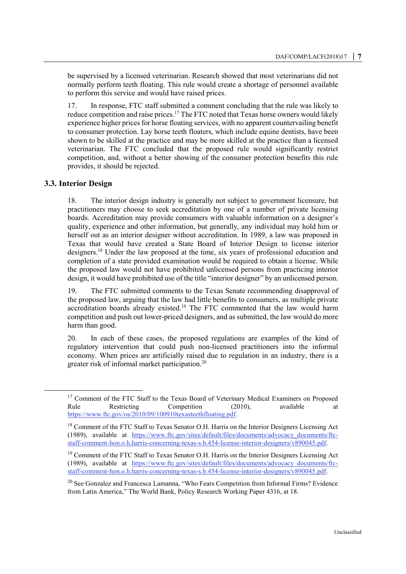be supervised by a licensed veterinarian. Research showed that most veterinarians did not normally perform teeth floating. This rule would create a shortage of personnel available to perform this service and would have raised prices.

17. In response, FTC staff submitted a comment concluding that the rule was likely to reduce competition and raise prices. <sup>17</sup> The FTC noted that Texas horse owners would likely experience higher prices for horse floating services, with no apparent countervailing benefit to consumer protection. Lay horse teeth floaters, which include equine dentists, have been shown to be skilled at the practice and may be more skilled at the practice than a licensed veterinarian. The FTC concluded that the proposed rule would significantly restrict competition, and, without a better showing of the consumer protection benefits this rule provides, it should be rejected.

# **3.3. Interior Design**

 $\overline{a}$ 

18. The interior design industry is generally not subject to government licensure, but practitioners may choose to seek accreditation by one of a number of private licensing boards. Accreditation may provide consumers with valuable information on a designer's quality, experience and other information, but generally, any individual may hold him or herself out as an interior designer without accreditation. In 1989, a law was proposed in Texas that would have created a State Board of Interior Design to license interior designers.<sup>18</sup> Under the law proposed at the time, six years of professional education and completion of a state provided examination would be required to obtain a license. While the proposed law would not have prohibited unlicensed persons from practicing interior design, it would have prohibited use of the title "interior designer" by an unlicensed person.

19. The FTC submitted comments to the Texas Senate recommending disapproval of the proposed law, arguing that the law had little benefits to consumers, as multiple private accreditation boards already existed.<sup>19</sup> The FTC commented that the law would harm competition and push out lower-priced designers, and as submitted, the law would do more harm than good.

20. In each of these cases, the proposed regulations are examples of the kind of regulatory intervention that could push non-licensed practitioners into the informal economy. When prices are artificially raised due to regulation in an industry, there is a greater risk of informal market participation.<sup>20</sup>

<sup>&</sup>lt;sup>17</sup> Comment of the FTC Staff to the Texas Board of Veterinary Medical Examiners on Proposed<br>Rule Restricting Competition (2010), available at Rule Restricting Competition (2010), available at [https://www.ftc.gov/os/2010/09/100910texasteethfloating.pdf.](https://www.ftc.gov/os/2010/09/100910texasteethfloating.pdf)

<sup>&</sup>lt;sup>18</sup> Comment of the FTC Staff to Texas Senator O.H. Harris on the Interior Designers Licensing Act (1989), available at [https://www.ftc.gov/sites/default/files/documents/advocacy\\_documents/ftc](https://www.ftc.gov/sites/default/files/documents/advocacy_documents/ftc-staff-comment-hon.o.h.harris-concerning-texas-s.b.454-license-interior-designers/v890045.pdf)[staff-comment-hon.o.h.harris-concerning-texas-s.b.454-license-interior-designers/v890045.pdf.](https://www.ftc.gov/sites/default/files/documents/advocacy_documents/ftc-staff-comment-hon.o.h.harris-concerning-texas-s.b.454-license-interior-designers/v890045.pdf)

<sup>&</sup>lt;sup>19</sup> Comment of the FTC Staff to Texas Senator O.H. Harris on the Interior Designers Licensing Act (1989), available at [https://www.ftc.gov/sites/default/files/documents/advocacy\\_documents/ftc](https://www.ftc.gov/sites/default/files/documents/advocacy_documents/ftc-staff-comment-hon.o.h.harris-concerning-texas-s.b.454-license-interior-designers/v890045.pdf)[staff-comment-hon.o.h.harris-concerning-texas-s.b.454-license-interior-designers/v890045.pdf.](https://www.ftc.gov/sites/default/files/documents/advocacy_documents/ftc-staff-comment-hon.o.h.harris-concerning-texas-s.b.454-license-interior-designers/v890045.pdf)

<sup>&</sup>lt;sup>20</sup> See Gonzalez and Francesca Lamanna, "Who Fears Competition from Informal Firms? Evidence from Latin America," The World Bank, Policy Research Working Paper 4316, at 18.